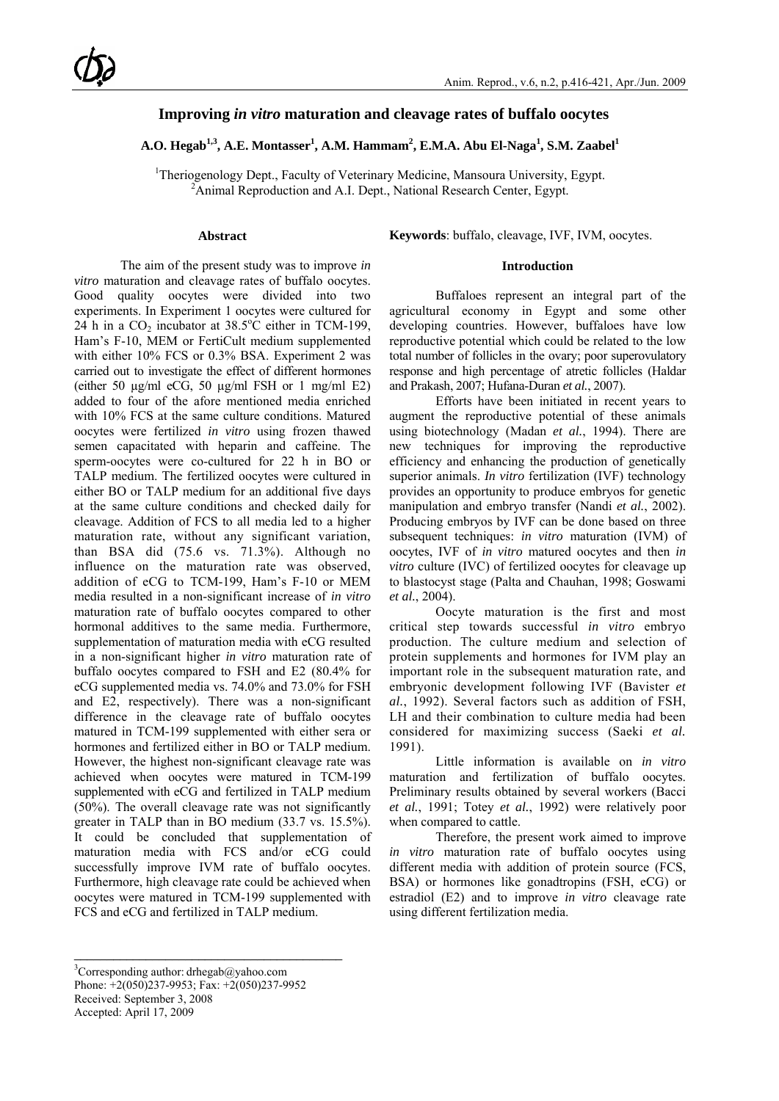# **Improving** *in vitro* **maturation and cleavage rates of buffalo oocytes**

# $\mathbf{A}.\mathbf{O}.$  **Hegab<sup>1,3</sup>, A.E. Montasser<sup>1</sup>, A.M. Hammam<sup>2</sup>, E.M.A. Abu El-Naga<sup>1</sup>, S.M. Zaabel<sup>1</sup>**

<sup>1</sup>Theriogenology Dept., Faculty of Veterinary Medicine, Mansoura University, Egypt.  $\frac{2 \text{ A} \text{ ximal} \text{ B} \text{ or } \text{cutoff}}{2 \text{ A} \text{ ximal} \text{ B} \text{ or } \text{cutoff}}$  $A$ nimal Reproduction and A.I. Dept., National Research Center, Egypt.

# **Abstract**

The aim of the present study was to improve *in vitro* maturation and cleavage rates of buffalo oocytes. Good quality oocytes were divided into two experiments. In Experiment 1 oocytes were cultured for 24 h in a  $CO_2$  incubator at 38.5°C either in TCM-199, Ham's F-10, MEM or FertiCult medium supplemented with either 10% FCS or 0.3% BSA. Experiment 2 was carried out to investigate the effect of different hormones (either 50  $\mu$ g/ml eCG, 50  $\mu$ g/ml FSH or 1 mg/ml E2) added to four of the afore mentioned media enriched with 10% FCS at the same culture conditions. Matured oocytes were fertilized *in vitro* using frozen thawed semen capacitated with heparin and caffeine. The sperm-oocytes were co-cultured for 22 h in BO or TALP medium. The fertilized oocytes were cultured in either BO or TALP medium for an additional five days at the same culture conditions and checked daily for cleavage. Addition of FCS to all media led to a higher maturation rate, without any significant variation, than BSA did (75.6 vs. 71.3%). Although no influence on the maturation rate was observed, addition of eCG to TCM-199, Ham's F-10 or MEM media resulted in a non-significant increase of *in vitro* maturation rate of buffalo oocytes compared to other hormonal additives to the same media. Furthermore, supplementation of maturation media with eCG resulted in a non-significant higher *in vitro* maturation rate of buffalo oocytes compared to FSH and E2 (80.4% for eCG supplemented media vs. 74.0% and 73.0% for FSH and E2, respectively). There was a non-significant difference in the cleavage rate of buffalo oocytes matured in TCM-199 supplemented with either sera or hormones and fertilized either in BO or TALP medium. However, the highest non-significant cleavage rate was achieved when oocytes were matured in TCM-199 supplemented with eCG and fertilized in TALP medium (50%). The overall cleavage rate was not significantly greater in TALP than in BO medium (33.7 vs. 15.5%). It could be concluded that supplementation of maturation media with FCS and/or eCG could successfully improve IVM rate of buffalo oocytes. Furthermore, high cleavage rate could be achieved when oocytes were matured in TCM-199 supplemented with FCS and eCG and fertilized in TALP medium.

**Keywords**: buffalo, cleavage, IVF, IVM, oocytes.

#### **Introduction**

Buffaloes represent an integral part of the agricultural economy in Egypt and some other developing countries. However, buffaloes have low reproductive potential which could be related to the low total number of follicles in the ovary; poor superovulatory response and high percentage of atretic follicles (Haldar and Prakash, 2007; Hufana-Duran *et al.*, 2007).

Efforts have been initiated in recent years to augment the reproductive potential of these animals using biotechnology (Madan *et al.*, 1994). There are new techniques for improving the reproductive efficiency and enhancing the production of genetically superior animals. *In vitro* fertilization (IVF) technology provides an opportunity to produce embryos for genetic manipulation and embryo transfer (Nandi *et al.*, 2002). Producing embryos by IVF can be done based on three subsequent techniques: *in vitro* maturation (IVM) of oocytes, IVF of *in vitro* matured oocytes and then *in vitro* culture (IVC) of fertilized oocytes for cleavage up to blastocyst stage (Palta and Chauhan, 1998; Goswami *et al.*, 2004).

Oocyte maturation is the first and most critical step towards successful *in vitro* embryo production. The culture medium and selection of protein supplements and hormones for IVM play an important role in the subsequent maturation rate, and embryonic development following IVF (Bavister *et al.*, 1992). Several factors such as addition of FSH, LH and their combination to culture media had been considered for maximizing success (Saeki *et al.* 1991).

Little information is available on *in vitro*  maturation and fertilization of buffalo oocytes. Preliminary results obtained by several workers (Bacci *et al.*, 1991; Totey *et al.*, 1992) were relatively poor when compared to cattle.

Therefore, the present work aimed to improve *in vitro* maturation rate of buffalo oocytes using different media with addition of protein source (FCS, BSA) or hormones like gonadtropins (FSH, eCG) or estradiol (E2) and to improve *in vitro* cleavage rate using different fertilization media.

\_\_\_\_\_\_\_\_\_\_\_\_\_\_\_\_\_\_\_\_\_\_\_\_\_\_\_\_\_\_\_\_\_\_\_\_\_\_\_\_\_

 ${}^{3}$ Corresponding author: drhegab@yahoo.com Phone: +2(050)237-9953; Fax: +2(050)237-9952 Received: September 3, 2008 Accepted: April 17, 2009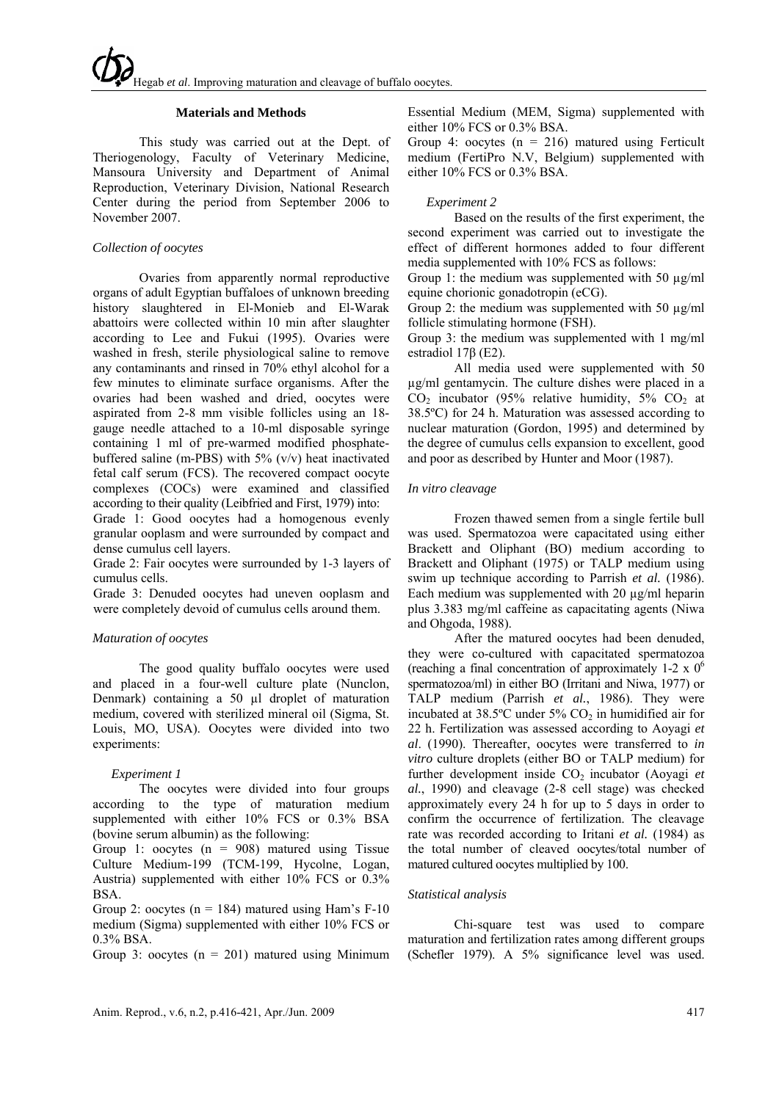## **Materials and Methods**

This study was carried out at the Dept. of Theriogenology, Faculty of Veterinary Medicine, Mansoura University and Department of Animal Reproduction, Veterinary Division, National Research Center during the period from September 2006 to November 2007.

# *Collection of oocytes*

Ovaries from apparently normal reproductive organs of adult Egyptian buffaloes of unknown breeding history slaughtered in El-Monieb and El-Warak abattoirs were collected within 10 min after slaughter according to Lee and Fukui (1995). Ovaries were washed in fresh, sterile physiological saline to remove any contaminants and rinsed in 70% ethyl alcohol for a few minutes to eliminate surface organisms. After the ovaries had been washed and dried, oocytes were aspirated from 2-8 mm visible follicles using an 18 gauge needle attached to a 10-ml disposable syringe containing 1 ml of pre-warmed modified phosphatebuffered saline (m-PBS) with  $5\%$  (v/v) heat inactivated fetal calf serum (FCS). The recovered compact oocyte complexes (COCs) were examined and classified according to their quality (Leibfried and First, 1979) into:

Grade 1: Good oocytes had a homogenous evenly granular ooplasm and were surrounded by compact and dense cumulus cell layers.

Grade 2: Fair oocytes were surrounded by 1-3 layers of cumulus cells.

Grade 3: Denuded oocytes had uneven ooplasm and were completely devoid of cumulus cells around them.

# *Maturation of oocytes*

The good quality buffalo oocytes were used and placed in a four-well culture plate (Nunclon, Denmark) containing a 50 µl droplet of maturation medium, covered with sterilized mineral oil (Sigma, St. Louis, MO, USA). Oocytes were divided into two experiments:

#### *Experiment 1*

The oocytes were divided into four groups according to the type of maturation medium supplemented with either 10% FCS or 0.3% BSA (bovine serum albumin) as the following:

Group 1: oocytes  $(n = 908)$  matured using Tissue Culture Medium-199 (TCM-199, Hycolne, Logan, Austria) supplemented with either 10% FCS or 0.3% BSA.

Group 2: oocytes ( $n = 184$ ) matured using Ham's F-10 medium (Sigma) supplemented with either 10% FCS or 0.3% BSA.

Group 3: oocytes  $(n = 201)$  matured using Minimum

Essential Medium (MEM, Sigma) supplemented with either 10% FCS or 0.3% BSA.

Group 4: oocytes  $(n = 216)$  matured using Ferticult medium (FertiPro N.V, Belgium) supplemented with either 10% FCS or 0.3% BSA.

## *Experiment 2*

Based on the results of the first experiment, the second experiment was carried out to investigate the effect of different hormones added to four different media supplemented with 10% FCS as follows:

Group 1: the medium was supplemented with 50  $\mu$ g/ml equine chorionic gonadotropin (eCG).

Group 2: the medium was supplemented with 50  $\mu$ g/ml follicle stimulating hormone (FSH).

Group 3: the medium was supplemented with 1 mg/ml estradiol 17β (E2).

All media used were supplemented with 50 µg/ml gentamycin. The culture dishes were placed in a  $CO<sub>2</sub>$  incubator (95% relative humidity, 5%  $CO<sub>2</sub>$  at 38.5ºC) for 24 h. Maturation was assessed according to nuclear maturation (Gordon, 1995) and determined by the degree of cumulus cells expansion to excellent, good and poor as described by Hunter and Moor (1987).

## *In vitro cleavage*

Frozen thawed semen from a single fertile bull was used. Spermatozoa were capacitated using either Brackett and Oliphant (BO) medium according to Brackett and Oliphant (1975) or TALP medium using swim up technique according to Parrish *et al.* (1986). Each medium was supplemented with 20  $\mu$ g/ml heparin plus 3.383 mg/ml caffeine as capacitating agents (Niwa and Ohgoda, 1988).

After the matured oocytes had been denuded, they were co-cultured with capacitated spermatozoa (reaching a final concentration of approximately 1-2 x  $0^6$ spermatozoa/ml) in either BO (Irritani and Niwa, 1977) or TALP medium (Parrish *et al.*, 1986). They were incubated at  $38.5^{\circ}$ C under  $5\%$  CO<sub>2</sub> in humidified air for 22 h. Fertilization was assessed according to Aoyagi *et al*. (1990). Thereafter, oocytes were transferred to *in vitro* culture droplets (either BO or TALP medium) for further development inside CO<sub>2</sub> incubator (Aoyagi *et al.*, 1990) and cleavage (2-8 cell stage) was checked approximately every 24 h for up to 5 days in order to confirm the occurrence of fertilization. The cleavage rate was recorded according to Iritani *et al.* (1984) as the total number of cleaved oocytes/total number of matured cultured oocytes multiplied by 100.

# *Statistical analysis*

Chi-square test was used to compare maturation and fertilization rates among different groups (Schefler 1979). A 5% significance level was used.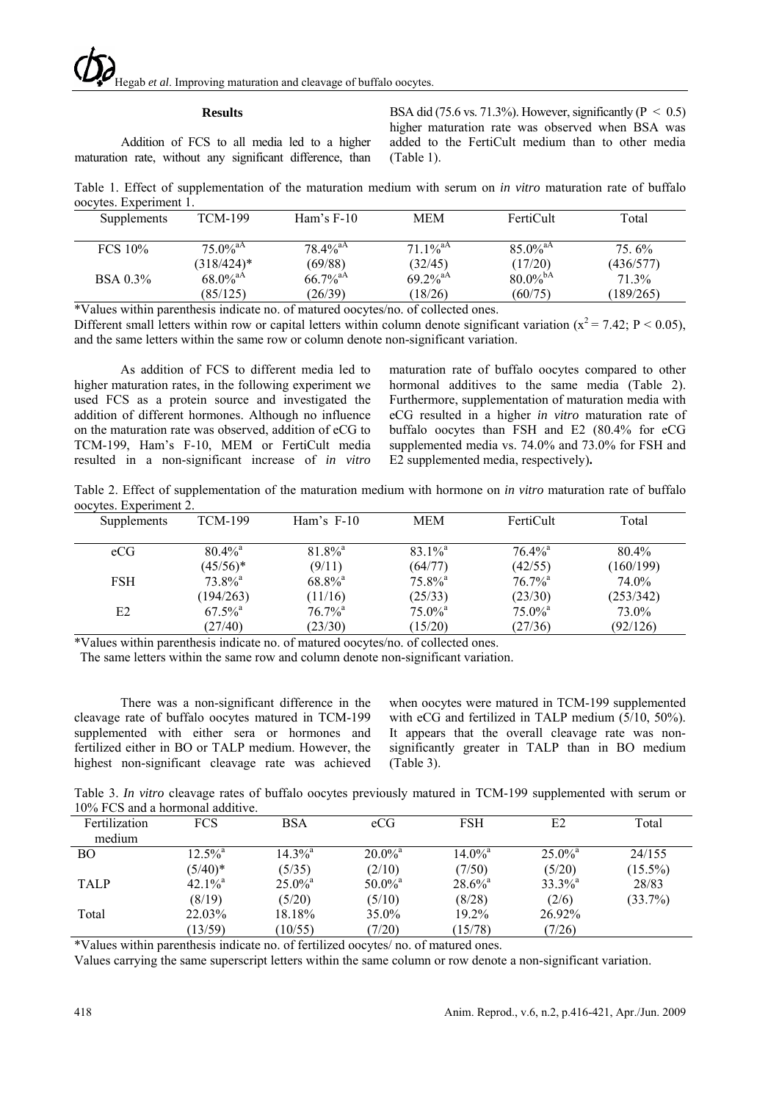#### **Results**

Addition of FCS to all media led to a higher maturation rate, without any significant difference, than BSA did (75.6 vs. 71.3%). However, significantly ( $P < 0.5$ ) higher maturation rate was observed when BSA was added to the FertiCult medium than to other media (Table 1).

Table 1. Effect of supplementation of the maturation medium with serum on *in vitro* maturation rate of buffalo oocytes. Experiment 1.

| Supplements     | TCM-199                | Ham's $F-10$           | <b>MEM</b>             | FertiCult              | Total     |
|-----------------|------------------------|------------------------|------------------------|------------------------|-----------|
| FCS 10%         | $75.0\%$ <sup>aA</sup> | $78.4\%$ <sup>aA</sup> | $71.1\%$ <sup>aA</sup> | $85.0\%$ <sup>aA</sup> | $75.6\%$  |
|                 | $(318/424)^*$          | (69/88)                | (32/45)                | (17/20)                | (436/577) |
| <b>BSA</b> 0.3% | 68.0% <sup>aA</sup>    | $66.7\%$ <sup>aA</sup> | $69.2\%$ <sup>aA</sup> | $80.0\%$ <sup>bA</sup> | 71.3%     |
|                 | (85/125)               | (26/39)                | (18/26)                | (60/75)                | (189/265) |

\*Values within parenthesis indicate no. of matured oocytes/no. of collected ones.

Different small letters within row or capital letters within column denote significant variation ( $x^2 = 7.42$ ; P < 0.05), and the same letters within the same row or column denote non-significant variation.

As addition of FCS to different media led to higher maturation rates, in the following experiment we used FCS as a protein source and investigated the addition of different hormones. Although no influence on the maturation rate was observed, addition of eCG to TCM-199, Ham's F-10, MEM or FertiCult media resulted in a non-significant increase of *in vitro*

maturation rate of buffalo oocytes compared to other hormonal additives to the same media (Table 2). Furthermore, supplementation of maturation media with eCG resulted in a higher *in vitro* maturation rate of buffalo oocytes than FSH and E2 (80.4% for eCG supplemented media vs. 74.0% and 73.0% for FSH and E2 supplemented media, respectively)**.** 

Table 2. Effect of supplementation of the maturation medium with hormone on *in vitro* maturation rate of buffalo oocytes. Experiment 2.

| Supplements | <b>TCM-199</b>        | Ham's $F-10$          | <b>MEM</b>            | FertiCult             | Total     |
|-------------|-----------------------|-----------------------|-----------------------|-----------------------|-----------|
| eCG         | $80.4\%$ <sup>a</sup> | $81.8\%$ <sup>a</sup> | $83.1\%$ <sup>a</sup> | $76.4\%$ <sup>a</sup> | $80.4\%$  |
|             | $(45/56)*$            | (9/11)                | (64/77)               | (42/55)               | (160/199) |
| <b>FSH</b>  | $73.8\%$ <sup>a</sup> | $68.8\%$ <sup>a</sup> | $75.8\%$ <sup>a</sup> | $76.7\%$ <sup>a</sup> | 74.0%     |
|             | (194/263)             | (11/16)               | (25/33)               | (23/30)               | (253/342) |
| E2          | $67.5\%$ <sup>a</sup> | $76.7\%$ <sup>a</sup> | $75.0\%$ <sup>a</sup> | $75.0\%$ <sup>a</sup> | 73.0%     |
|             | (27/40)               | (23/30)               | (15/20)               | (27/36)               | (92/126)  |

\*Values within parenthesis indicate no. of matured oocytes/no. of collected ones.

The same letters within the same row and column denote non-significant variation.

There was a non-significant difference in the cleavage rate of buffalo oocytes matured in TCM-199 supplemented with either sera or hormones and fertilized either in BO or TALP medium. However, the highest non-significant cleavage rate was achieved

when oocytes were matured in TCM-199 supplemented with eCG and fertilized in TALP medium (5/10, 50%). It appears that the overall cleavage rate was nonsignificantly greater in TALP than in BO medium (Table 3).

Table 3. *In vitro* cleavage rates of buffalo oocytes previously matured in TCM-199 supplemented with serum or 10% FCS and a hormonal additive.

| Fertilization | <b>FCS</b>            | <b>BSA</b>            | eCG                   | <b>FSH</b>            | E2                    | Total      |
|---------------|-----------------------|-----------------------|-----------------------|-----------------------|-----------------------|------------|
| medium        |                       |                       |                       |                       |                       |            |
| BO            | $12.5\%$ <sup>a</sup> | $14.3\%$ <sup>a</sup> | $20.0\%$ <sup>a</sup> | $14.0\%$ <sup>a</sup> | $25.0\%$ <sup>a</sup> | 24/155     |
|               | $(5/40)^*$            | (5/35)                | (2/10)                | (7/50)                | (5/20)                | $(15.5\%)$ |
| <b>TALP</b>   | $42.1\%$ <sup>a</sup> | $25.0\%$ <sup>a</sup> | $50.0\%$ <sup>a</sup> | $28.6\%$ <sup>a</sup> | $33.3\%$ <sup>a</sup> | 28/83      |
|               | (8/19)                | (5/20)                | (5/10)                | (8/28)                | (2/6)                 | (33.7%)    |
| Total         | 22.03%                | 18.18%                | 35.0%                 | 19.2%                 | 26.92%                |            |
|               | (13/59)               | (10/55)               | (7/20)                | (15/78)               | (7/26)                |            |

\*Values within parenthesis indicate no. of fertilized oocytes/ no. of matured ones.

Values carrying the same superscript letters within the same column or row denote a non-significant variation.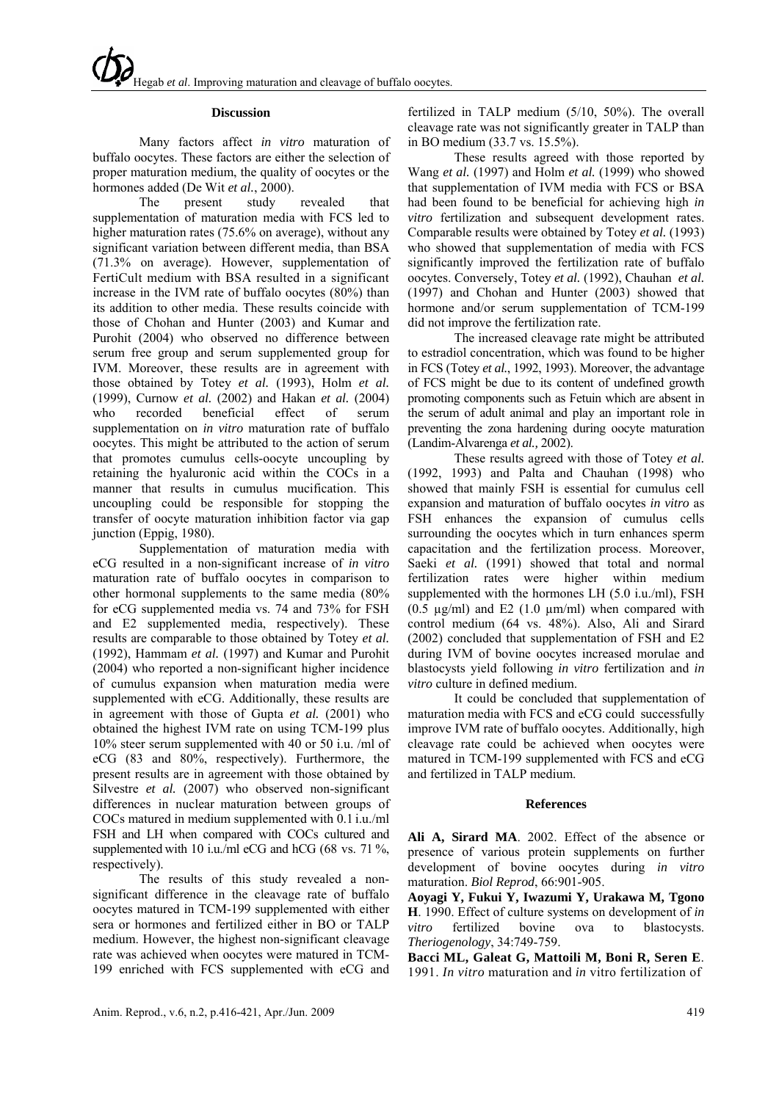## **Discussion**

Many factors affect *in vitro* maturation of buffalo oocytes. These factors are either the selection of proper maturation medium, the quality of oocytes or the hormones added (De Wit *et al.*, 2000).

The present study revealed that supplementation of maturation media with FCS led to higher maturation rates (75.6% on average), without any significant variation between different media, than BSA (71.3% on average). However, supplementation of FertiCult medium with BSA resulted in a significant increase in the IVM rate of buffalo oocytes (80%) than its addition to other media. These results coincide with those of Chohan and Hunter (2003) and Kumar and Purohit (2004) who observed no difference between serum free group and serum supplemented group for IVM. Moreover, these results are in agreement with those obtained by Totey *et al.* (1993), Holm *et al.* (1999), Curnow *et al.* (2002) and Hakan *et al.* (2004) who recorded beneficial effect of serum supplementation on *in vitro* maturation rate of buffalo oocytes. This might be attributed to the action of serum that promotes cumulus cells-oocyte uncoupling by retaining the hyaluronic acid within the COCs in a manner that results in cumulus mucification. This uncoupling could be responsible for stopping the transfer of oocyte maturation inhibition factor via gap junction (Eppig, 1980).

Supplementation of maturation media with eCG resulted in a non-significant increase of *in vitro* maturation rate of buffalo oocytes in comparison to other hormonal supplements to the same media (80% for eCG supplemented media vs. 74 and 73% for FSH and E2 supplemented media, respectively). These results are comparable to those obtained by Totey *et al.* (1992), Hammam *et al.* (1997) and Kumar and Purohit (2004) who reported a non-significant higher incidence of cumulus expansion when maturation media were supplemented with eCG. Additionally, these results are in agreement with those of Gupta *et al.* (2001) who obtained the highest IVM rate on using TCM-199 plus 10% steer serum supplemented with 40 or 50 i.u. /ml of eCG (83 and 80%, respectively). Furthermore, the present results are in agreement with those obtained by Silvestre *et al.* (2007) who observed non-significant differences in nuclear maturation between groups of COCs matured in medium supplemented with 0.1 i.u./ml FSH and LH when compared with COCs cultured and supplemented with 10 i.u./ml eCG and hCG (68 vs. 71 %, respectively).

The results of this study revealed a nonsignificant difference in the cleavage rate of buffalo oocytes matured in TCM-199 supplemented with either sera or hormones and fertilized either in BO or TALP medium. However, the highest non-significant cleavage rate was achieved when oocytes were matured in TCM-199 enriched with FCS supplemented with eCG and

fertilized in TALP medium (5/10, 50%). The overall cleavage rate was not significantly greater in TALP than in BO medium (33.7 vs. 15.5%).

These results agreed with those reported by Wang *et al.* (1997) and Holm *et al.* (1999) who showed that supplementation of IVM media with FCS or BSA had been found to be beneficial for achieving high *in vitro* fertilization and subsequent development rates. Comparable results were obtained by Totey *et al.* (1993) who showed that supplementation of media with FCS significantly improved the fertilization rate of buffalo oocytes. Conversely, Totey *et al.* (1992), Chauhan *et al.* (1997) and Chohan and Hunter (2003) showed that hormone and/or serum supplementation of TCM-199 did not improve the fertilization rate.

The increased cleavage rate might be attributed to estradiol concentration, which was found to be higher in FCS (Totey *et al.*, 1992, 1993). Moreover, the advantage of FCS might be due to its content of undefined growth promoting components such as Fetuin which are absent in the serum of adult animal and play an important role in preventing the zona hardening during oocyte maturation (Landim-Alvarenga *et al.,* 2002).

These results agreed with those of Totey *et al.* (1992, 1993) and Palta and Chauhan (1998) who showed that mainly FSH is essential for cumulus cell expansion and maturation of buffalo oocytes *in vitro* as FSH enhances the expansion of cumulus cells surrounding the oocytes which in turn enhances sperm capacitation and the fertilization process. Moreover, Saeki *et al.* (1991) showed that total and normal fertilization rates were higher within medium supplemented with the hormones LH (5.0 i.u./ml), FSH (0.5  $\mu$ g/ml) and E2 (1.0  $\mu$ m/ml) when compared with control medium (64 vs. 48%). Also, Ali and Sirard (2002) concluded that supplementation of FSH and E2 during IVM of bovine oocytes increased morulae and blastocysts yield following *in vitro* fertilization and *in vitro* culture in defined medium.

It could be concluded that supplementation of maturation media with FCS and eCG could successfully improve IVM rate of buffalo oocytes. Additionally, high cleavage rate could be achieved when oocytes were matured in TCM-199 supplemented with FCS and eCG and fertilized in TALP medium.

#### **References**

**Ali A, Sirard MA**. 2002. Effect of the absence or presence of various protein supplements on further development of bovine oocytes during *in vitro* maturation. *Biol Reprod*, 66:901-905.

**Aoyagi Y, Fukui Y, Iwazumi Y, Urakawa M, Tgono H**. 1990. Effect of culture systems on development of *in vitro* fertilized bovine ova to blastocysts. *Theriogenology*, 34:749-759.

**Bacci ML, Galeat G, Mattoili M, Boni R, Seren E**. 1991. *In vitro* maturation and *in* vitro fertilization of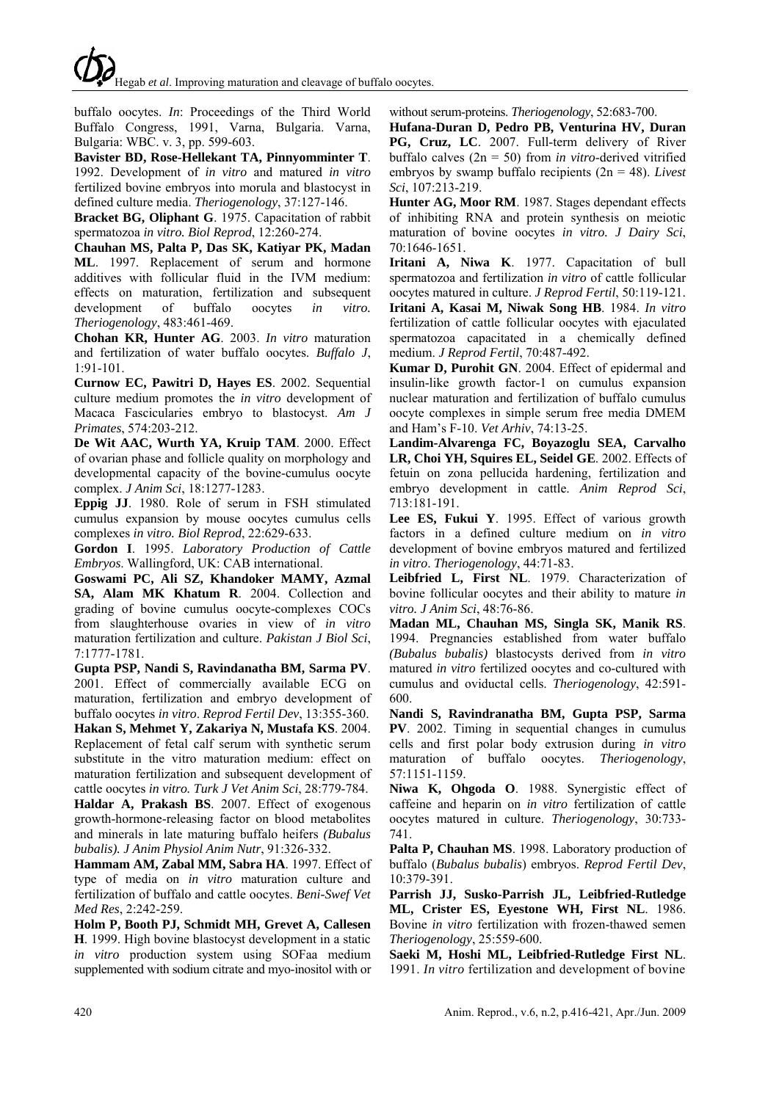buffalo oocytes. *In*: Proceedings of the Third World Buffalo Congress, 1991, Varna, Bulgaria. Varna, Bulgaria: WBC. v. 3, pp. 599-603.

**Bavister BD, Rose-Hellekant TA, Pinnyomminter T**. 1992. Development of *in vitro* and matured *in vitro* fertilized bovine embryos into morula and blastocyst in defined culture media. *Theriogenology*, 37:127-146.

**Bracket BG, Oliphant G**. 1975. Capacitation of rabbit spermatozoa *in vitro. Biol Reprod*, 12:260-274.

**Chauhan MS, Palta P, Das SK, Katiyar PK, Madan ML**. 1997. Replacement of serum and hormone additives with follicular fluid in the IVM medium: effects on maturation, fertilization and subsequent development of buffalo oocytes *in vitro. Theriogenology*, 483:461-469.

**Chohan KR, Hunter AG**. 2003. *In vitro* maturation and fertilization of water buffalo oocytes. *Buffalo J*, 1:91-101.

**Curnow EC, Pawitri D, Hayes ES**. 2002. Sequential culture medium promotes the *in vitro* development of Macaca Fascicularies embryo to blastocyst. *Am J Primates*, 574:203-212.

**De Wit AAC, Wurth YA, Kruip TAM**. 2000. Effect of ovarian phase and follicle quality on morphology and developmental capacity of the bovine-cumulus oocyte complex. *J Anim Sci*, 18:1277-1283.

**Eppig JJ**. 1980. Role of serum in FSH stimulated cumulus expansion by mouse oocytes cumulus cells complexes *in vitro. Biol Reprod*, 22:629-633.

**Gordon I**. 1995. *Laboratory Production of Cattle Embryos*. Wallingford, UK: CAB international.

**Goswami PC, Ali SZ, Khandoker MAMY, Azmal SA, Alam MK Khatum R**. 2004. Collection and grading of bovine cumulus oocyte-complexes COCs from slaughterhouse ovaries in view of *in vitro* maturation fertilization and culture. *Pakistan J Biol Sci*, 7:1777-1781.

**Gupta PSP, Nandi S, Ravindanatha BM, Sarma PV**. 2001. Effect of commercially available ECG on maturation, fertilization and embryo development of buffalo oocytes *in vitro*. *Reprod Fertil Dev*, 13:355-360.

**Hakan S, Mehmet Y, Zakariya N, Mustafa KS**. 2004. Replacement of fetal calf serum with synthetic serum substitute in the vitro maturation medium: effect on maturation fertilization and subsequent development of cattle oocytes *in vitro. Turk J Vet Anim Sci*, 28:779-784.

**Haldar A, Prakash BS**. 2007. Effect of exogenous growth-hormone-releasing factor on blood metabolites and minerals in late maturing buffalo heifers *(Bubalus bubalis). J Anim Physiol Anim Nutr*, 91:326-332.

**Hammam AM, Zabal MM, Sabra HA**. 1997. Effect of type of media on *in vitro* maturation culture and fertilization of buffalo and cattle oocytes. *Beni-Swef Vet Med Res*, 2:242-259.

**Holm P, Booth PJ, Schmidt MH, Grevet A, Callesen H**. 1999. High bovine blastocyst development in a static *in vitro* production system using SOFaa medium supplemented with sodium citrate and myo-inositol with or

without serum-proteins. *Theriogenology*, 52:683-700.

**Hufana-Duran D, Pedro PB, Venturina HV, Duran PG, Cruz, LC**. 2007. Full-term delivery of River buffalo calves (2n = 50) from *in vitro*-derived vitrified embryos by swamp buffalo recipients (2n = 48). *Livest Sci*, 107:213-219.

**Hunter AG, Moor RM**. 1987. Stages dependant effects of inhibiting RNA and protein synthesis on meiotic maturation of bovine oocytes *in vitro. J Dairy Sci*, 70:1646-1651.

**Iritani A, Niwa K**. 1977. Capacitation of bull spermatozoa and fertilization *in vitro* of cattle follicular oocytes matured in culture. *J Reprod Fertil*, 50:119-121.

**Iritani A, Kasai M, Niwak Song HB**. 1984. *In vitro* fertilization of cattle follicular oocytes with ejaculated spermatozoa capacitated in a chemically defined medium. *J Reprod Fertil*, 70:487-492.

**Kumar D, Purohit GN**. 2004. Effect of epidermal and insulin-like growth factor-1 on cumulus expansion nuclear maturation and fertilization of buffalo cumulus oocyte complexes in simple serum free media DMEM and Ham's F-10. *Vet Arhiv*, 74:13-25.

**Landim-Alvarenga FC, Boyazoglu SEA, Carvalho LR, Choi YH, Squires EL, Seidel GE**. 2002. Effects of fetuin on zona pellucida hardening, fertilization and embryo development in cattle. *Anim Reprod Sci*, 713:181-191.

**Lee ES, Fukui Y**. 1995. Effect of various growth factors in a defined culture medium on *in vitro* development of bovine embryos matured and fertilized *in vitro*. *Theriogenology*, 44:71-83.

**Leibfried L, First NL**. 1979. Characterization of bovine follicular oocytes and their ability to mature *in vitro. J Anim Sci*, 48:76-86.

**Madan ML, Chauhan MS, Singla SK, Manik RS**. 1994. Pregnancies established from water buffalo *(Bubalus bubalis)* blastocysts derived from *in vitro* matured *in vitro* fertilized oocytes and co-cultured with cumulus and oviductal cells. *Theriogenology*, 42:591- 600.

**Nandi S, Ravindranatha BM, Gupta PSP, Sarma PV**. 2002. Timing in sequential changes in cumulus cells and first polar body extrusion during *in vitro* maturation of buffalo oocytes. *Theriogenology*, 57:1151-1159.

**Niwa K, Ohgoda O**. 1988. Synergistic effect of caffeine and heparin on *in vitro* fertilization of cattle oocytes matured in culture. *Theriogenology*, 30:733- 741.

**Palta P, Chauhan MS**. 1998. Laboratory production of buffalo (*Bubalus bubalis*) embryos. *Reprod Fertil Dev*, 10:379-391.

**Parrish JJ, Susko-Parrish JL, Leibfried-Rutledge ML, Crister ES, Eyestone WH, First NL**. 1986. Bovine *in vitro* fertilization with frozen-thawed semen *Theriogenology*, 25:559-600.

**Saeki M, Hoshi ML, Leibfried-Rutledge First NL**. 1991. *In vitro* fertilization and development of bovine